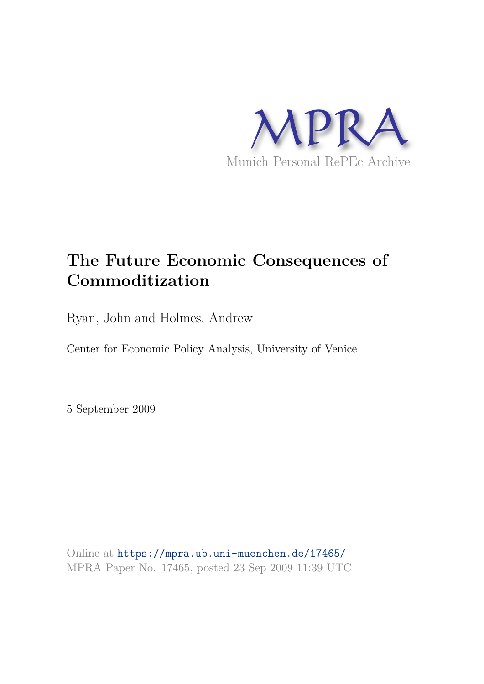

# **The Future Economic Consequences of Commoditization**

Ryan, John and Holmes, Andrew

Center for Economic Policy Analysis, University of Venice

5 September 2009

Online at https://mpra.ub.uni-muenchen.de/17465/ MPRA Paper No. 17465, posted 23 Sep 2009 11:39 UTC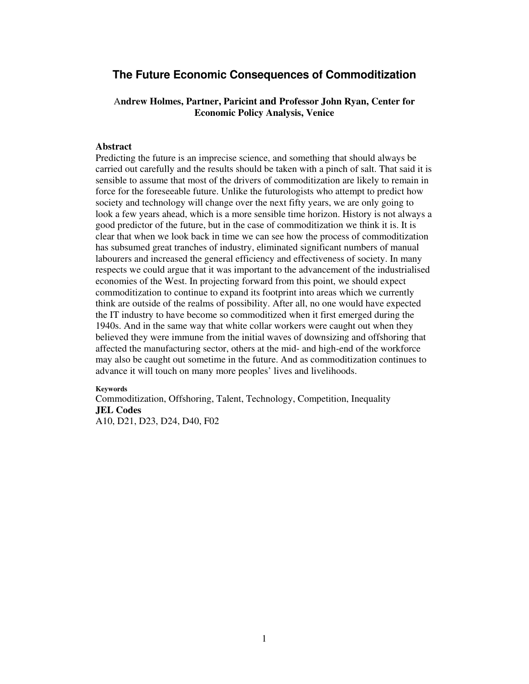## **The Future Economic Consequences of Commoditization**

### A**ndrew Holmes, Partner, Paricint and Professor John Ryan, Center for Economic Policy Analysis, Venice**

#### **Abstract**

Predicting the future is an imprecise science, and something that should always be carried out carefully and the results should be taken with a pinch of salt. That said it is sensible to assume that most of the drivers of commoditization are likely to remain in force for the foreseeable future. Unlike the futurologists who attempt to predict how society and technology will change over the next fifty years, we are only going to look a few years ahead, which is a more sensible time horizon. History is not always a good predictor of the future, but in the case of commoditization we think it is. It is clear that when we look back in time we can see how the process of commoditization has subsumed great tranches of industry, eliminated significant numbers of manual labourers and increased the general efficiency and effectiveness of society. In many respects we could argue that it was important to the advancement of the industrialised economies of the West. In projecting forward from this point, we should expect commoditization to continue to expand its footprint into areas which we currently think are outside of the realms of possibility. After all, no one would have expected the IT industry to have become so commoditized when it first emerged during the 1940s. And in the same way that white collar workers were caught out when they believed they were immune from the initial waves of downsizing and offshoring that affected the manufacturing sector, others at the mid- and high-end of the workforce may also be caught out sometime in the future. And as commoditization continues to advance it will touch on many more peoples' lives and livelihoods.

#### **Keywords**

Commoditization, Offshoring, Talent, Technology, Competition, Inequality **JEL Codes**  A10, D21, D23, D24, D40, F02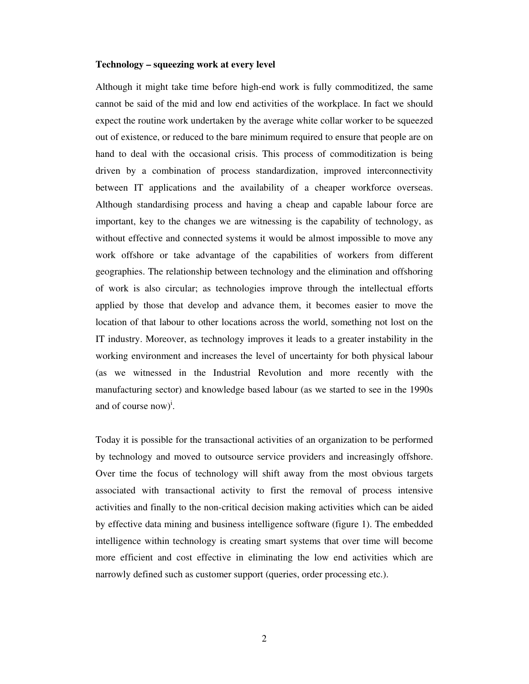#### **Technology – squeezing work at every level**

Although it might take time before high-end work is fully commoditized, the same cannot be said of the mid and low end activities of the workplace. In fact we should expect the routine work undertaken by the average white collar worker to be squeezed out of existence, or reduced to the bare minimum required to ensure that people are on hand to deal with the occasional crisis. This process of commoditization is being driven by a combination of process standardization, improved interconnectivity between IT applications and the availability of a cheaper workforce overseas. Although standardising process and having a cheap and capable labour force are important, key to the changes we are witnessing is the capability of technology, as without effective and connected systems it would be almost impossible to move any work offshore or take advantage of the capabilities of workers from different geographies. The relationship between technology and the elimination and offshoring of work is also circular; as technologies improve through the intellectual efforts applied by those that develop and advance them, it becomes easier to move the location of that labour to other locations across the world, something not lost on the IT industry. Moreover, as technology improves it leads to a greater instability in the working environment and increases the level of uncertainty for both physical labour (as we witnessed in the Industrial Revolution and more recently with the manufacturing sector) and knowledge based labour (as we started to see in the 1990s and of course now)<sup>i</sup>.

Today it is possible for the transactional activities of an organization to be performed by technology and moved to outsource service providers and increasingly offshore. Over time the focus of technology will shift away from the most obvious targets associated with transactional activity to first the removal of process intensive activities and finally to the non-critical decision making activities which can be aided by effective data mining and business intelligence software (figure 1). The embedded intelligence within technology is creating smart systems that over time will become more efficient and cost effective in eliminating the low end activities which are narrowly defined such as customer support (queries, order processing etc.).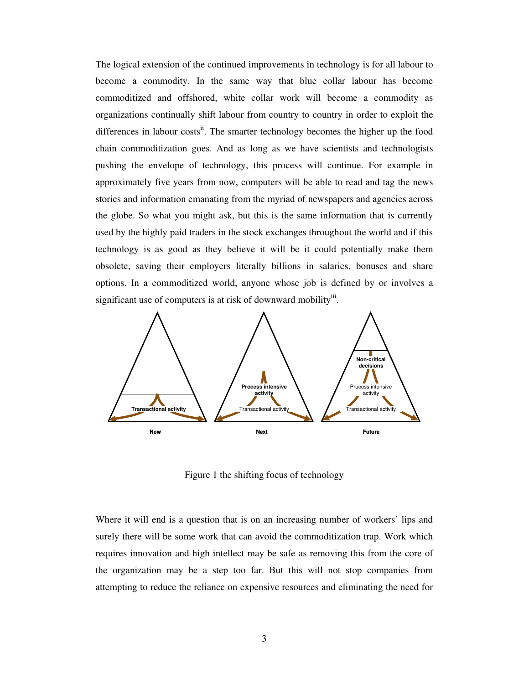The logical extension of the continued improvements in technology is for all labour to become a commodity. In the same way that blue collar labour has become commoditized and offshored, white collar work will become a commodity as organizations continually shift labour from country to country in order to exploit the differences in labour costs $i$ . The smarter technology becomes the higher up the food chain commoditization goes. And as long as we have scientists and technologists pushing the envelope of technology, this process will continue. For example in approximately five years from now, computers will be able to read and tag the news stories and information emanating from the myriad of newspapers and agencies across the globe. So what you might ask, but this is the same information that is currently used by the highly paid traders in the stock exchanges throughout the world and if this technology is as good as they believe it will be it could potentially make them obsolete, saving their employers literally billions in salaries, bonuses and share options. In a commoditized world, anyone whose job is defined by or involves a significant use of computers is at risk of downward mobility<sup>iii</sup>.



Figure 1 the shifting focus of technology

Where it will end is a question that is on an increasing number of workers' lips and surely there will be some work that can avoid the commoditization trap. Work which requires innovation and high intellect may be safe as removing this from the core of the organization may be a step too far. But this will not stop companies from attempting to reduce the reliance on expensive resources and eliminating the need for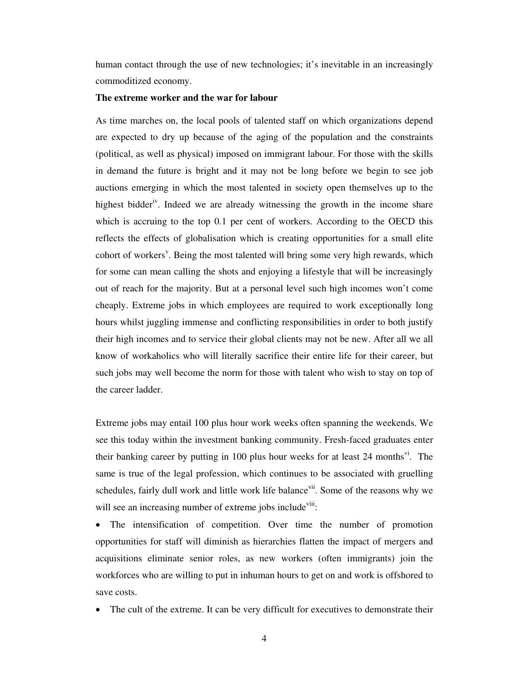human contact through the use of new technologies; it's inevitable in an increasingly commoditized economy.

#### **The extreme worker and the war for labour**

As time marches on, the local pools of talented staff on which organizations depend are expected to dry up because of the aging of the population and the constraints (political, as well as physical) imposed on immigrant labour. For those with the skills in demand the future is bright and it may not be long before we begin to see job auctions emerging in which the most talented in society open themselves up to the highest bidder<sup>iv</sup>. Indeed we are already witnessing the growth in the income share which is accruing to the top 0.1 per cent of workers. According to the OECD this reflects the effects of globalisation which is creating opportunities for a small elite cohort of workers<sup>v</sup>. Being the most talented will bring some very high rewards, which for some can mean calling the shots and enjoying a lifestyle that will be increasingly out of reach for the majority. But at a personal level such high incomes won't come cheaply. Extreme jobs in which employees are required to work exceptionally long hours whilst juggling immense and conflicting responsibilities in order to both justify their high incomes and to service their global clients may not be new. After all we all know of workaholics who will literally sacrifice their entire life for their career, but such jobs may well become the norm for those with talent who wish to stay on top of the career ladder.

Extreme jobs may entail 100 plus hour work weeks often spanning the weekends. We see this today within the investment banking community. Fresh-faced graduates enter their banking career by putting in 100 plus hour weeks for at least 24 months<sup>vi</sup>. The same is true of the legal profession, which continues to be associated with gruelling schedules, fairly dull work and little work life balance<sup>vii</sup>. Some of the reasons why we will see an increasing number of extreme jobs include<sup>viii</sup>:

• The intensification of competition. Over time the number of promotion opportunities for staff will diminish as hierarchies flatten the impact of mergers and acquisitions eliminate senior roles, as new workers (often immigrants) join the workforces who are willing to put in inhuman hours to get on and work is offshored to save costs.

The cult of the extreme. It can be very difficult for executives to demonstrate their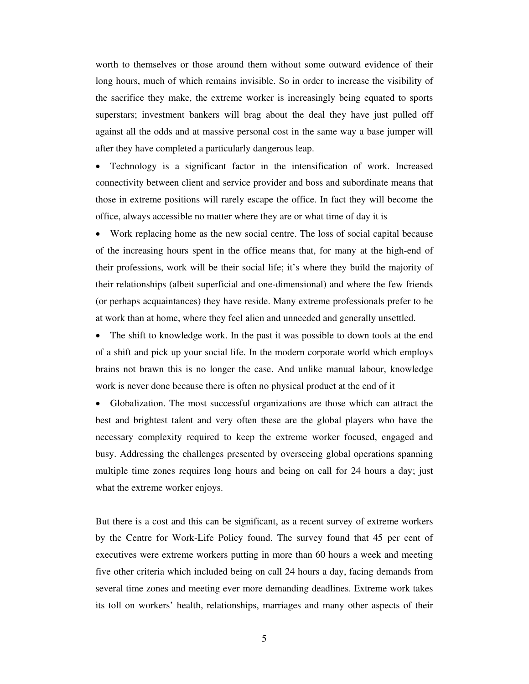worth to themselves or those around them without some outward evidence of their long hours, much of which remains invisible. So in order to increase the visibility of the sacrifice they make, the extreme worker is increasingly being equated to sports superstars; investment bankers will brag about the deal they have just pulled off against all the odds and at massive personal cost in the same way a base jumper will after they have completed a particularly dangerous leap.

• Technology is a significant factor in the intensification of work. Increased connectivity between client and service provider and boss and subordinate means that those in extreme positions will rarely escape the office. In fact they will become the office, always accessible no matter where they are or what time of day it is

• Work replacing home as the new social centre. The loss of social capital because of the increasing hours spent in the office means that, for many at the high-end of their professions, work will be their social life; it's where they build the majority of their relationships (albeit superficial and one-dimensional) and where the few friends (or perhaps acquaintances) they have reside. Many extreme professionals prefer to be at work than at home, where they feel alien and unneeded and generally unsettled.

The shift to knowledge work. In the past it was possible to down tools at the end of a shift and pick up your social life. In the modern corporate world which employs brains not brawn this is no longer the case. And unlike manual labour, knowledge work is never done because there is often no physical product at the end of it

• Globalization. The most successful organizations are those which can attract the best and brightest talent and very often these are the global players who have the necessary complexity required to keep the extreme worker focused, engaged and busy. Addressing the challenges presented by overseeing global operations spanning multiple time zones requires long hours and being on call for 24 hours a day; just what the extreme worker enjoys.

But there is a cost and this can be significant, as a recent survey of extreme workers by the Centre for Work-Life Policy found. The survey found that 45 per cent of executives were extreme workers putting in more than 60 hours a week and meeting five other criteria which included being on call 24 hours a day, facing demands from several time zones and meeting ever more demanding deadlines. Extreme work takes its toll on workers' health, relationships, marriages and many other aspects of their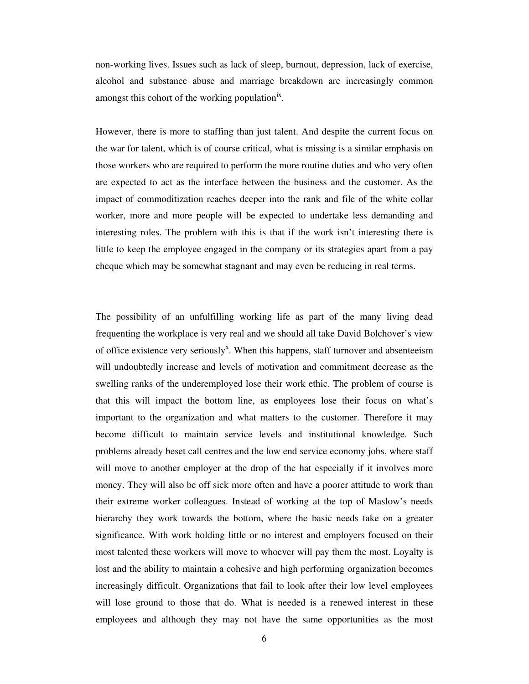non-working lives. Issues such as lack of sleep, burnout, depression, lack of exercise, alcohol and substance abuse and marriage breakdown are increasingly common amongst this cohort of the working population<sup>ix</sup>.

However, there is more to staffing than just talent. And despite the current focus on the war for talent, which is of course critical, what is missing is a similar emphasis on those workers who are required to perform the more routine duties and who very often are expected to act as the interface between the business and the customer. As the impact of commoditization reaches deeper into the rank and file of the white collar worker, more and more people will be expected to undertake less demanding and interesting roles. The problem with this is that if the work isn't interesting there is little to keep the employee engaged in the company or its strategies apart from a pay cheque which may be somewhat stagnant and may even be reducing in real terms.

The possibility of an unfulfilling working life as part of the many living dead frequenting the workplace is very real and we should all take David Bolchover's view of office existence very seriously<sup>x</sup>. When this happens, staff turnover and absenteeism will undoubtedly increase and levels of motivation and commitment decrease as the swelling ranks of the underemployed lose their work ethic. The problem of course is that this will impact the bottom line, as employees lose their focus on what's important to the organization and what matters to the customer. Therefore it may become difficult to maintain service levels and institutional knowledge. Such problems already beset call centres and the low end service economy jobs, where staff will move to another employer at the drop of the hat especially if it involves more money. They will also be off sick more often and have a poorer attitude to work than their extreme worker colleagues. Instead of working at the top of Maslow's needs hierarchy they work towards the bottom, where the basic needs take on a greater significance. With work holding little or no interest and employers focused on their most talented these workers will move to whoever will pay them the most. Loyalty is lost and the ability to maintain a cohesive and high performing organization becomes increasingly difficult. Organizations that fail to look after their low level employees will lose ground to those that do. What is needed is a renewed interest in these employees and although they may not have the same opportunities as the most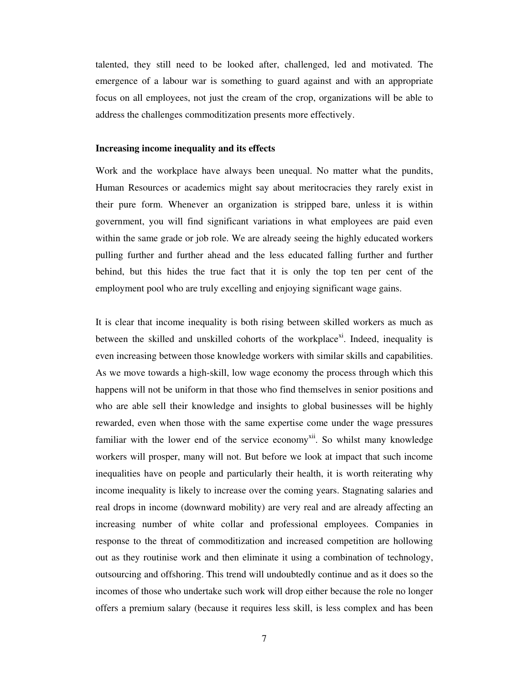talented, they still need to be looked after, challenged, led and motivated. The emergence of a labour war is something to guard against and with an appropriate focus on all employees, not just the cream of the crop, organizations will be able to address the challenges commoditization presents more effectively.

#### **Increasing income inequality and its effects**

Work and the workplace have always been unequal. No matter what the pundits, Human Resources or academics might say about meritocracies they rarely exist in their pure form. Whenever an organization is stripped bare, unless it is within government, you will find significant variations in what employees are paid even within the same grade or job role. We are already seeing the highly educated workers pulling further and further ahead and the less educated falling further and further behind, but this hides the true fact that it is only the top ten per cent of the employment pool who are truly excelling and enjoying significant wage gains.

It is clear that income inequality is both rising between skilled workers as much as between the skilled and unskilled cohorts of the workplace<sup>xi</sup>. Indeed, inequality is even increasing between those knowledge workers with similar skills and capabilities. As we move towards a high-skill, low wage economy the process through which this happens will not be uniform in that those who find themselves in senior positions and who are able sell their knowledge and insights to global businesses will be highly rewarded, even when those with the same expertise come under the wage pressures familiar with the lower end of the service economy<sup>xii</sup>. So whilst many knowledge workers will prosper, many will not. But before we look at impact that such income inequalities have on people and particularly their health, it is worth reiterating why income inequality is likely to increase over the coming years. Stagnating salaries and real drops in income (downward mobility) are very real and are already affecting an increasing number of white collar and professional employees. Companies in response to the threat of commoditization and increased competition are hollowing out as they routinise work and then eliminate it using a combination of technology, outsourcing and offshoring. This trend will undoubtedly continue and as it does so the incomes of those who undertake such work will drop either because the role no longer offers a premium salary (because it requires less skill, is less complex and has been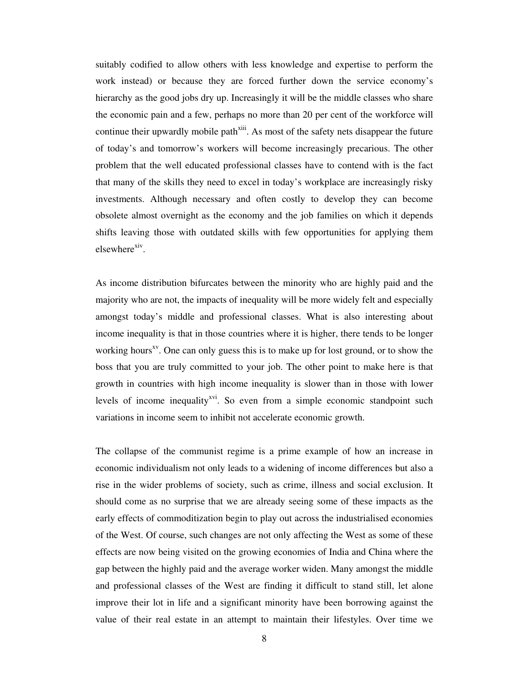suitably codified to allow others with less knowledge and expertise to perform the work instead) or because they are forced further down the service economy's hierarchy as the good jobs dry up. Increasingly it will be the middle classes who share the economic pain and a few, perhaps no more than 20 per cent of the workforce will continue their upwardly mobile path<sup>xiii</sup>. As most of the safety nets disappear the future of today's and tomorrow's workers will become increasingly precarious. The other problem that the well educated professional classes have to contend with is the fact that many of the skills they need to excel in today's workplace are increasingly risky investments. Although necessary and often costly to develop they can become obsolete almost overnight as the economy and the job families on which it depends shifts leaving those with outdated skills with few opportunities for applying them elsewhere<sup>xiv</sup>.

As income distribution bifurcates between the minority who are highly paid and the majority who are not, the impacts of inequality will be more widely felt and especially amongst today's middle and professional classes. What is also interesting about income inequality is that in those countries where it is higher, there tends to be longer working hours $x^y$ . One can only guess this is to make up for lost ground, or to show the boss that you are truly committed to your job. The other point to make here is that growth in countries with high income inequality is slower than in those with lower levels of income inequality<sup>xvi</sup>. So even from a simple economic standpoint such variations in income seem to inhibit not accelerate economic growth.

The collapse of the communist regime is a prime example of how an increase in economic individualism not only leads to a widening of income differences but also a rise in the wider problems of society, such as crime, illness and social exclusion. It should come as no surprise that we are already seeing some of these impacts as the early effects of commoditization begin to play out across the industrialised economies of the West. Of course, such changes are not only affecting the West as some of these effects are now being visited on the growing economies of India and China where the gap between the highly paid and the average worker widen. Many amongst the middle and professional classes of the West are finding it difficult to stand still, let alone improve their lot in life and a significant minority have been borrowing against the value of their real estate in an attempt to maintain their lifestyles. Over time we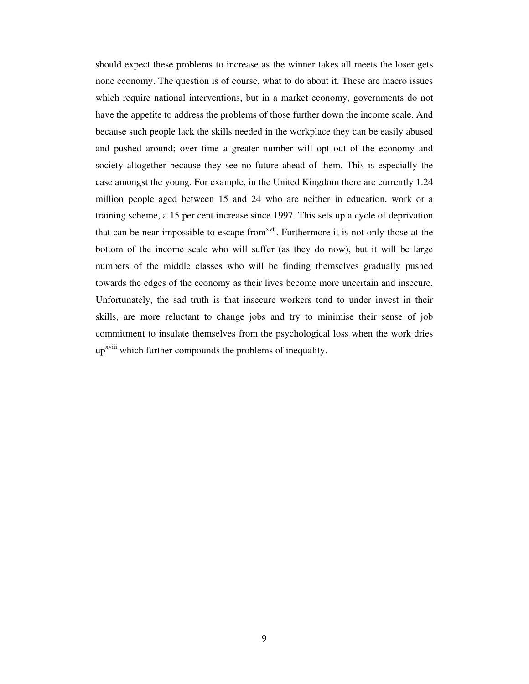should expect these problems to increase as the winner takes all meets the loser gets none economy. The question is of course, what to do about it. These are macro issues which require national interventions, but in a market economy, governments do not have the appetite to address the problems of those further down the income scale. And because such people lack the skills needed in the workplace they can be easily abused and pushed around; over time a greater number will opt out of the economy and society altogether because they see no future ahead of them. This is especially the case amongst the young. For example, in the United Kingdom there are currently 1.24 million people aged between 15 and 24 who are neither in education, work or a training scheme, a 15 per cent increase since 1997. This sets up a cycle of deprivation that can be near impossible to escape from<sup>xvii</sup>. Furthermore it is not only those at the bottom of the income scale who will suffer (as they do now), but it will be large numbers of the middle classes who will be finding themselves gradually pushed towards the edges of the economy as their lives become more uncertain and insecure. Unfortunately, the sad truth is that insecure workers tend to under invest in their skills, are more reluctant to change jobs and try to minimise their sense of job commitment to insulate themselves from the psychological loss when the work dries up<sup>xviii</sup> which further compounds the problems of inequality.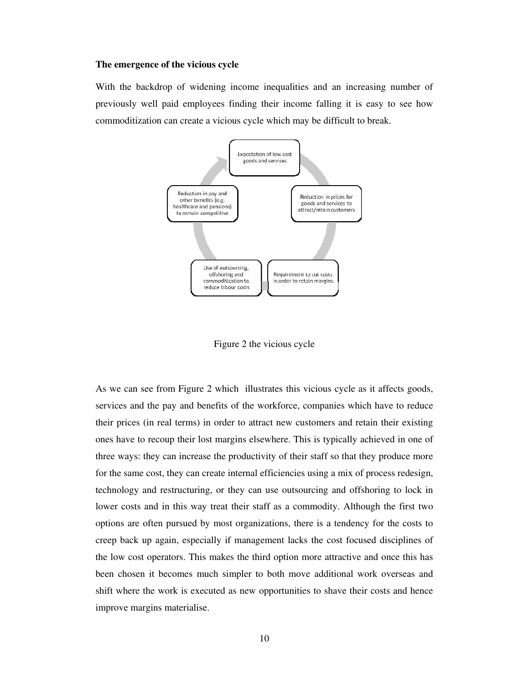#### **The emergence of the vicious cycle**

With the backdrop of widening income inequalities and an increasing number of previously well paid employees finding their income falling it is easy to see how commoditization can create a vicious cycle which may be difficult to break.



Figure 2 the vicious cycle

As we can see from Figure 2 which illustrates this vicious cycle as it affects goods, services and the pay and benefits of the workforce, companies which have to reduce their prices (in real terms) in order to attract new customers and retain their existing ones have to recoup their lost margins elsewhere. This is typically achieved in one of three ways: they can increase the productivity of their staff so that they produce more for the same cost, they can create internal efficiencies using a mix of process redesign, technology and restructuring, or they can use outsourcing and offshoring to lock in lower costs and in this way treat their staff as a commodity. Although the first two options are often pursued by most organizations, there is a tendency for the costs to creep back up again, especially if management lacks the cost focused disciplines of the low cost operators. This makes the third option more attractive and once this has been chosen it becomes much simpler to both move additional work overseas and shift where the work is executed as new opportunities to shave their costs and hence improve margins materialise.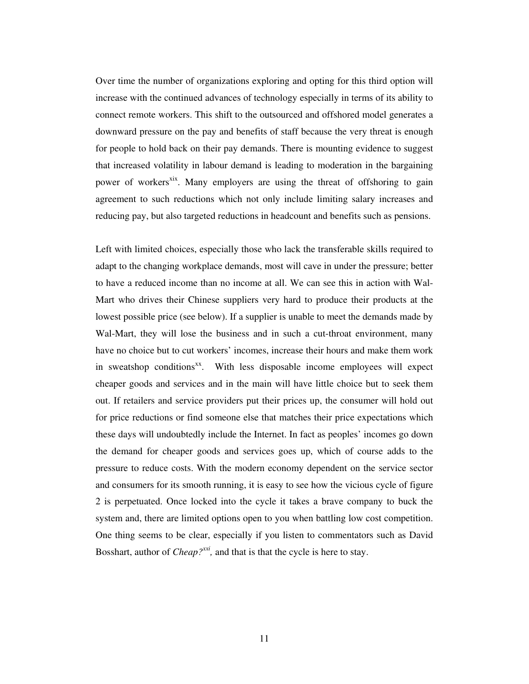Over time the number of organizations exploring and opting for this third option will increase with the continued advances of technology especially in terms of its ability to connect remote workers. This shift to the outsourced and offshored model generates a downward pressure on the pay and benefits of staff because the very threat is enough for people to hold back on their pay demands. There is mounting evidence to suggest that increased volatility in labour demand is leading to moderation in the bargaining power of workers<sup>xix</sup>. Many employers are using the threat of offshoring to gain agreement to such reductions which not only include limiting salary increases and reducing pay, but also targeted reductions in headcount and benefits such as pensions.

Left with limited choices, especially those who lack the transferable skills required to adapt to the changing workplace demands, most will cave in under the pressure; better to have a reduced income than no income at all. We can see this in action with Wal-Mart who drives their Chinese suppliers very hard to produce their products at the lowest possible price (see below). If a supplier is unable to meet the demands made by Wal-Mart, they will lose the business and in such a cut-throat environment, many have no choice but to cut workers' incomes, increase their hours and make them work in sweatshop conditions<sup>xx</sup>. With less disposable income employees will expect cheaper goods and services and in the main will have little choice but to seek them out. If retailers and service providers put their prices up, the consumer will hold out for price reductions or find someone else that matches their price expectations which these days will undoubtedly include the Internet. In fact as peoples' incomes go down the demand for cheaper goods and services goes up, which of course adds to the pressure to reduce costs. With the modern economy dependent on the service sector and consumers for its smooth running, it is easy to see how the vicious cycle of figure 2 is perpetuated. Once locked into the cycle it takes a brave company to buck the system and, there are limited options open to you when battling low cost competition. One thing seems to be clear, especially if you listen to commentators such as David Bosshart, author of *Cheap?xxi ,* and that is that the cycle is here to stay.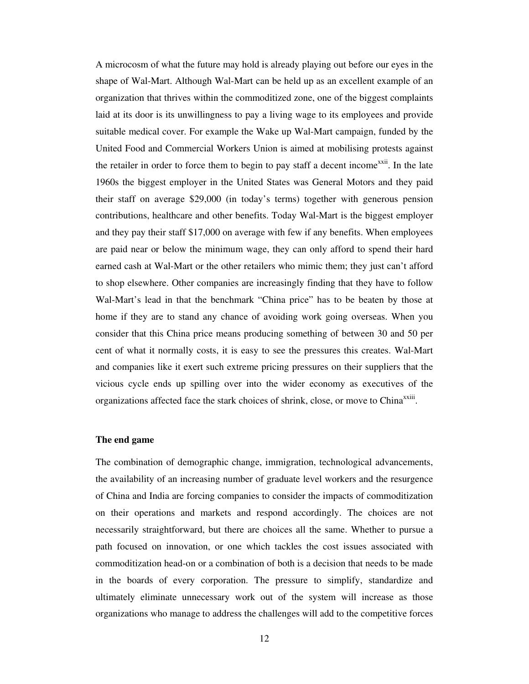A microcosm of what the future may hold is already playing out before our eyes in the shape of Wal-Mart. Although Wal-Mart can be held up as an excellent example of an organization that thrives within the commoditized zone, one of the biggest complaints laid at its door is its unwillingness to pay a living wage to its employees and provide suitable medical cover. For example the Wake up Wal-Mart campaign, funded by the United Food and Commercial Workers Union is aimed at mobilising protests against the retailer in order to force them to begin to pay staff a decent income $^{xxii}$ . In the late 1960s the biggest employer in the United States was General Motors and they paid their staff on average \$29,000 (in today's terms) together with generous pension contributions, healthcare and other benefits. Today Wal-Mart is the biggest employer and they pay their staff \$17,000 on average with few if any benefits. When employees are paid near or below the minimum wage, they can only afford to spend their hard earned cash at Wal-Mart or the other retailers who mimic them; they just can't afford to shop elsewhere. Other companies are increasingly finding that they have to follow Wal-Mart's lead in that the benchmark "China price" has to be beaten by those at home if they are to stand any chance of avoiding work going overseas. When you consider that this China price means producing something of between 30 and 50 per cent of what it normally costs, it is easy to see the pressures this creates. Wal-Mart and companies like it exert such extreme pricing pressures on their suppliers that the vicious cycle ends up spilling over into the wider economy as executives of the organizations affected face the stark choices of shrink, close, or move to China<sup>xxiii</sup>.

#### **The end game**

The combination of demographic change, immigration, technological advancements, the availability of an increasing number of graduate level workers and the resurgence of China and India are forcing companies to consider the impacts of commoditization on their operations and markets and respond accordingly. The choices are not necessarily straightforward, but there are choices all the same. Whether to pursue a path focused on innovation, or one which tackles the cost issues associated with commoditization head-on or a combination of both is a decision that needs to be made in the boards of every corporation. The pressure to simplify, standardize and ultimately eliminate unnecessary work out of the system will increase as those organizations who manage to address the challenges will add to the competitive forces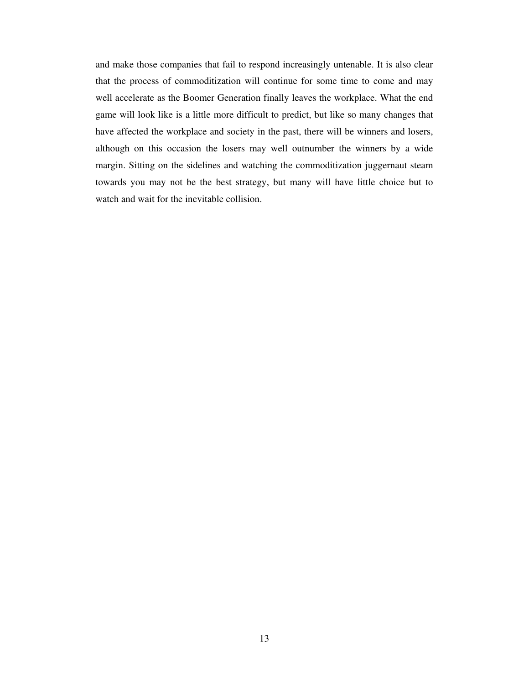and make those companies that fail to respond increasingly untenable. It is also clear that the process of commoditization will continue for some time to come and may well accelerate as the Boomer Generation finally leaves the workplace. What the end game will look like is a little more difficult to predict, but like so many changes that have affected the workplace and society in the past, there will be winners and losers, although on this occasion the losers may well outnumber the winners by a wide margin. Sitting on the sidelines and watching the commoditization juggernaut steam towards you may not be the best strategy, but many will have little choice but to watch and wait for the inevitable collision.